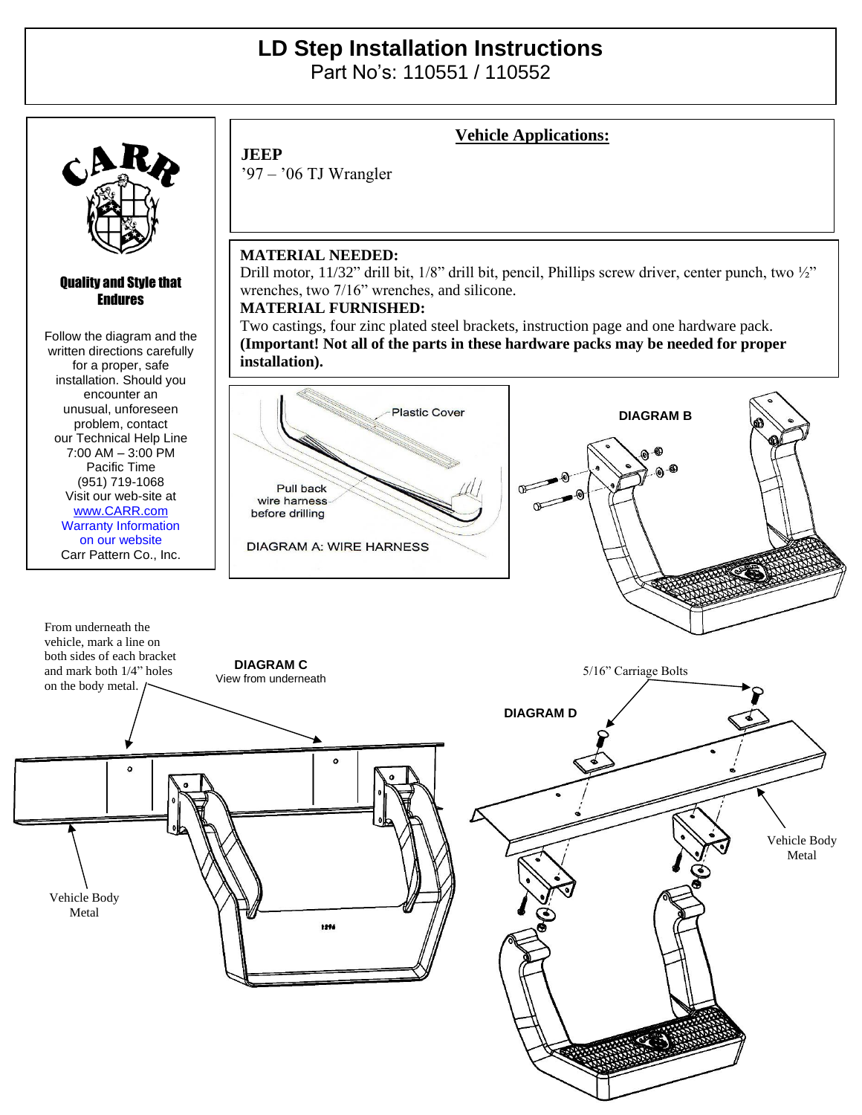## **LD Step Installation Instructions**

Part No's: 110551 / 110552



Vehicle Body Metal